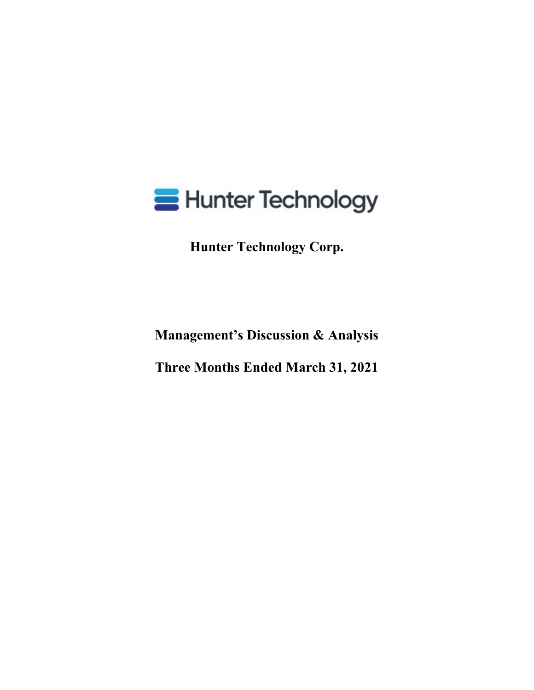

**Hunter Technology Corp.**

**Management's Discussion & Analysis**

**Three Months Ended March 31, 2021**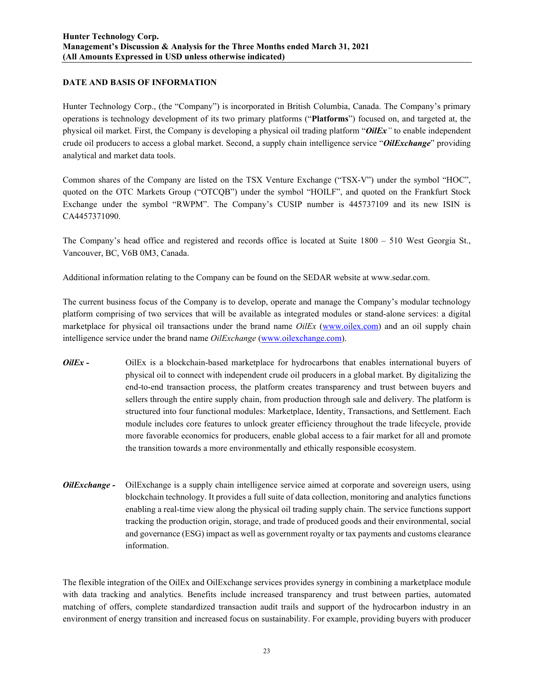## **DATE AND BASIS OF INFORMATION**

Hunter Technology Corp., (the "Company") is incorporated in British Columbia, Canada. The Company's primary operations is technology development of its two primary platforms ("**Platforms**") focused on, and targeted at, the physical oil market. First, the Company is developing a physical oil trading platform "*OilEx"* to enable independent crude oil producers to access a global market. Second, a supply chain intelligence service "*OilExchange*" providing analytical and market data tools.

Common shares of the Company are listed on the TSX Venture Exchange ("TSX-V") under the symbol "HOC", quoted on the OTC Markets Group ("OTCQB") under the symbol "HOILF", and quoted on the Frankfurt Stock Exchange under the symbol "RWPM". The Company's CUSIP number is 445737109 and its new ISIN is CA4457371090.

The Company's head office and registered and records office is located at Suite 1800 – 510 West Georgia St., Vancouver, BC, V6B 0M3, Canada.

Additional information relating to the Company can be found on the SEDAR website at www.sedar.com.

The current business focus of the Company is to develop, operate and manage the Company's modular technology platform comprising of two services that will be available as integrated modules or stand-alone services: a digital marketplace for physical oil transactions under the brand name *OilEx* (www.oilex.com) and an oil supply chain intelligence service under the brand name *OilExchange* (www.oilexchange.com).

- *OilEx* OilEx is a blockchain-based marketplace for hydrocarbons that enables international buyers of physical oil to connect with independent crude oil producers in a global market. By digitalizing the end-to-end transaction process, the platform creates transparency and trust between buyers and sellers through the entire supply chain, from production through sale and delivery. The platform is structured into four functional modules: Marketplace, Identity, Transactions, and Settlement. Each module includes core features to unlock greater efficiency throughout the trade lifecycle, provide more favorable economics for producers, enable global access to a fair market for all and promote the transition towards a more environmentally and ethically responsible ecosystem.
- *OilExchange -* OilExchange is a supply chain intelligence service aimed at corporate and sovereign users, using blockchain technology. It provides a full suite of data collection, monitoring and analytics functions enabling a real-time view along the physical oil trading supply chain. The service functions support tracking the production origin, storage, and trade of produced goods and their environmental, social and governance (ESG) impact as well as government royalty or tax payments and customs clearance information.

The flexible integration of the OilEx and OilExchange services provides synergy in combining a marketplace module with data tracking and analytics. Benefits include increased transparency and trust between parties, automated matching of offers, complete standardized transaction audit trails and support of the hydrocarbon industry in an environment of energy transition and increased focus on sustainability. For example, providing buyers with producer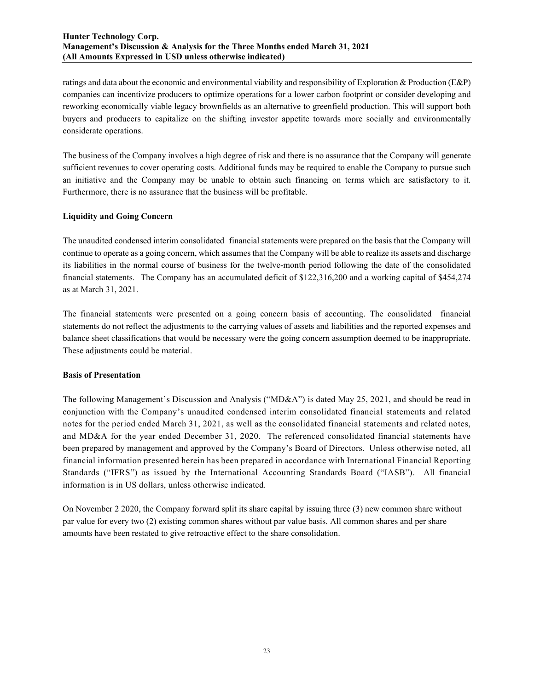ratings and data about the economic and environmental viability and responsibility of Exploration & Production (E&P) companies can incentivize producers to optimize operations for a lower carbon footprint or consider developing and reworking economically viable legacy brownfields as an alternative to greenfield production. This will support both buyers and producers to capitalize on the shifting investor appetite towards more socially and environmentally considerate operations.

The business of the Company involves a high degree of risk and there is no assurance that the Company will generate sufficient revenues to cover operating costs. Additional funds may be required to enable the Company to pursue such an initiative and the Company may be unable to obtain such financing on terms which are satisfactory to it. Furthermore, there is no assurance that the business will be profitable.

## **Liquidity and Going Concern**

The unaudited condensed interim consolidated financial statements were prepared on the basis that the Company will continue to operate as a going concern, which assumes that the Company will be able to realize its assets and discharge its liabilities in the normal course of business for the twelve-month period following the date of the consolidated financial statements. The Company has an accumulated deficit of \$122,316,200 and a working capital of \$454,274 as at March 31, 2021.

The financial statements were presented on a going concern basis of accounting. The consolidated financial statements do not reflect the adjustments to the carrying values of assets and liabilities and the reported expenses and balance sheet classifications that would be necessary were the going concern assumption deemed to be inappropriate. These adjustments could be material.

#### **Basis of Presentation**

The following Management's Discussion and Analysis ("MD&A") is dated May 25, 2021, and should be read in conjunction with the Company's unaudited condensed interim consolidated financial statements and related notes for the period ended March 31, 2021, as well as the consolidated financial statements and related notes, and MD&A for the year ended December 31, 2020. The referenced consolidated financial statements have been prepared by management and approved by the Company's Board of Directors. Unless otherwise noted, all financial information presented herein has been prepared in accordance with International Financial Reporting Standards ("IFRS") as issued by the International Accounting Standards Board ("IASB"). All financial information is in US dollars, unless otherwise indicated.

On November 2 2020, the Company forward split its share capital by issuing three (3) new common share without par value for every two (2) existing common shares without par value basis. All common shares and per share amounts have been restated to give retroactive effect to the share consolidation.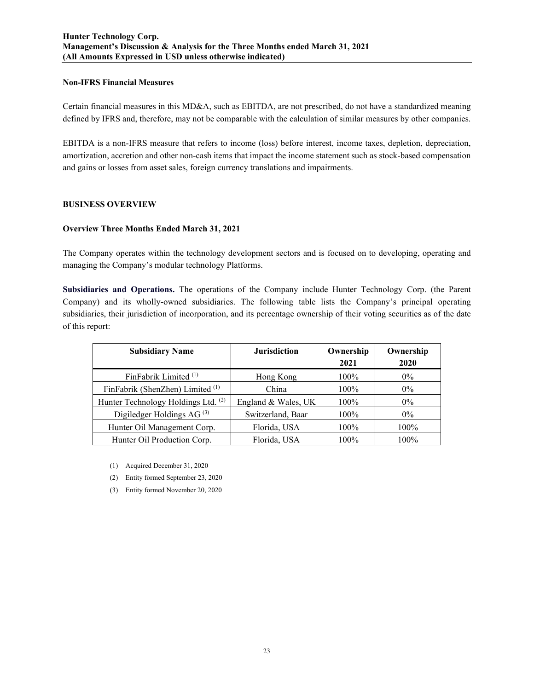### **Non-IFRS Financial Measures**

Certain financial measures in this MD&A, such as EBITDA, are not prescribed, do not have a standardized meaning defined by IFRS and, therefore, may not be comparable with the calculation of similar measures by other companies.

EBITDA is a non-IFRS measure that refers to income (loss) before interest, income taxes, depletion, depreciation, amortization, accretion and other non-cash items that impact the income statement such as stock-based compensation and gains or losses from asset sales, foreign currency translations and impairments.

## **BUSINESS OVERVIEW**

### **Overview Three Months Ended March 31, 2021**

The Company operates within the technology development sectors and is focused on to developing, operating and managing the Company's modular technology Platforms.

**Subsidiaries and Operations.** The operations of the Company include Hunter Technology Corp. (the Parent Company) and its wholly-owned subsidiaries. The following table lists the Company's principal operating subsidiaries, their jurisdiction of incorporation, and its percentage ownership of their voting securities as of the date of this report:

| <b>Subsidiary Name</b>                | <b>Jurisdiction</b> | Ownership<br>2021 | Ownership<br>2020 |  |  |
|---------------------------------------|---------------------|-------------------|-------------------|--|--|
| FinFabrik Limited <sup>(1)</sup>      | Hong Kong           | $100\%$           | $0\%$             |  |  |
| FinFabrik (ShenZhen) Limited (1)      | China               | 100%              | $0\%$             |  |  |
| Hunter Technology Holdings Ltd. (2)   | England & Wales, UK | $100\%$           | $0\%$             |  |  |
| Digiledger Holdings AG <sup>(3)</sup> | Switzerland, Baar   | 100%              | $0\%$             |  |  |
| Hunter Oil Management Corp.           | Florida, USA        | $100\%$           | 100%              |  |  |
| Hunter Oil Production Corp.           | Florida, USA        | $100\%$           | 100%              |  |  |

(1) Acquired December 31, 2020

(2) Entity formed September 23, 2020

(3) Entity formed November 20, 2020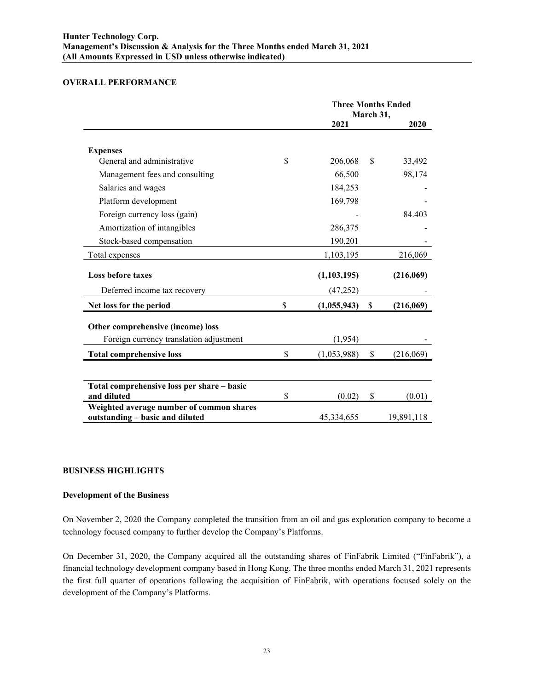## **OVERALL PERFORMANCE**

|                                                                             | <b>Three Months Ended</b><br>March 31, |               |            |
|-----------------------------------------------------------------------------|----------------------------------------|---------------|------------|
|                                                                             | 2021                                   |               | 2020       |
| <b>Expenses</b>                                                             |                                        |               |            |
| General and administrative                                                  | \$<br>206,068                          | <sup>\$</sup> | 33,492     |
| Management fees and consulting                                              | 66,500                                 |               | 98,174     |
| Salaries and wages                                                          | 184,253                                |               |            |
| Platform development                                                        | 169,798                                |               |            |
| Foreign currency loss (gain)                                                |                                        |               | 84.403     |
| Amortization of intangibles                                                 | 286,375                                |               |            |
| Stock-based compensation                                                    | 190,201                                |               |            |
| Total expenses                                                              | 1,103,195                              |               | 216,069    |
| <b>Loss before taxes</b>                                                    | (1,103,195)                            |               | (216,069)  |
| Deferred income tax recovery                                                | (47, 252)                              |               |            |
| Net loss for the period                                                     | \$<br>(1,055,943)                      | \$            | (216,069)  |
| Other comprehensive (income) loss                                           |                                        |               |            |
| Foreign currency translation adjustment                                     | (1,954)                                |               |            |
| <b>Total comprehensive loss</b>                                             | \$<br>(1,053,988)                      | \$            | (216,069)  |
|                                                                             |                                        |               |            |
| Total comprehensive loss per share - basic<br>and diluted                   | \$<br>(0.02)                           | \$            | (0.01)     |
| Weighted average number of common shares<br>outstanding - basic and diluted | 45,334,655                             |               | 19,891,118 |

## **BUSINESS HIGHLIGHTS**

### **Development of the Business**

On November 2, 2020 the Company completed the transition from an oil and gas exploration company to become a technology focused company to further develop the Company's Platforms.

On December 31, 2020, the Company acquired all the outstanding shares of FinFabrik Limited ("FinFabrik"), a financial technology development company based in Hong Kong. The three months ended March 31, 2021 represents the first full quarter of operations following the acquisition of FinFabrik, with operations focused solely on the development of the Company's Platforms.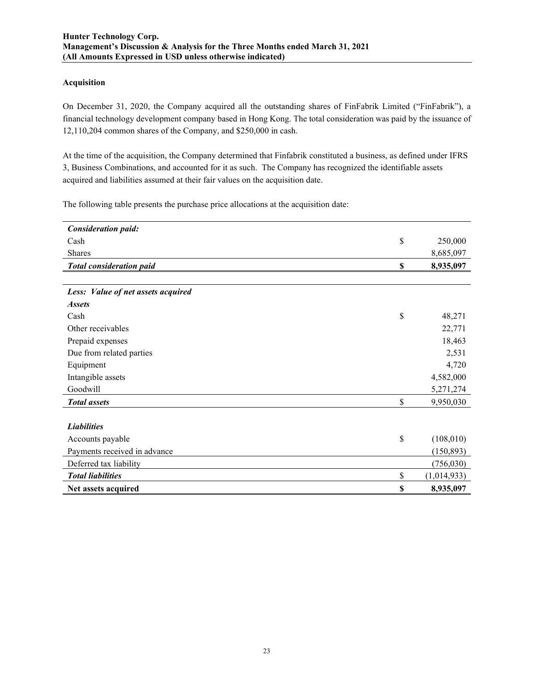### **Acquisition**

On December 31, 2020, the Company acquired all the outstanding shares of FinFabrik Limited ("FinFabrik"), a financial technology development company based in Hong Kong. The total consideration was paid by the issuance of 12,110,204 common shares of the Company, and \$250,000 in cash.

At the time of the acquisition, the Company determined that Finfabrik constituted a business, as defined under IFRS 3, Business Combinations, and accounted for it as such. The Company has recognized the identifiable assets acquired and liabilities assumed at their fair values on the acquisition date.

The following table presents the purchase price allocations at the acquisition date:

| <b>Consideration paid:</b>         |                   |
|------------------------------------|-------------------|
| Cash                               | \$<br>250,000     |
| Shares                             | 8,685,097         |
| <b>Total consideration paid</b>    | \$<br>8,935,097   |
|                                    |                   |
| Less: Value of net assets acquired |                   |
| <b>Assets</b>                      |                   |
| Cash                               | \$<br>48,271      |
| Other receivables                  | 22,771            |
| Prepaid expenses                   | 18,463            |
| Due from related parties           | 2,531             |
| Equipment                          | 4,720             |
| Intangible assets                  | 4,582,000         |
| Goodwill                           | 5,271,274         |
| <b>Total</b> assets                | \$<br>9,950,030   |
|                                    |                   |
| <b>Liabilities</b>                 |                   |
| Accounts payable                   | \$<br>(108,010)   |
| Payments received in advance       | (150, 893)        |
| Deferred tax liability             | (756,030)         |
| <b>Total liabilities</b>           | \$<br>(1,014,933) |
| Net assets acquired                | \$<br>8,935,097   |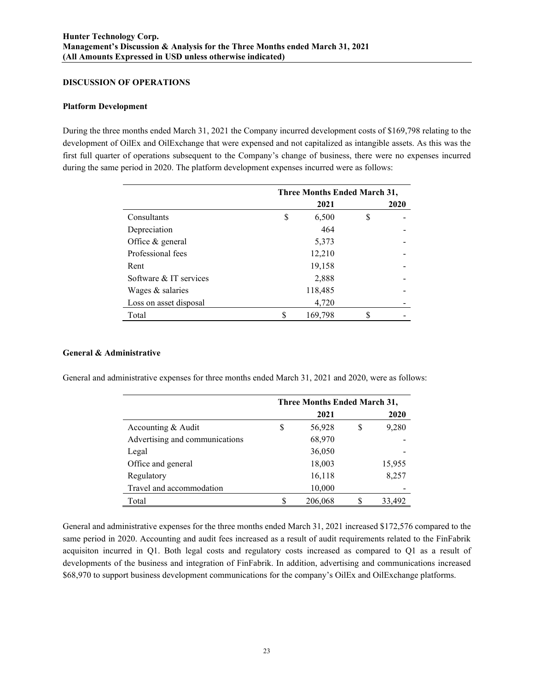### **DISCUSSION OF OPERATIONS**

### **Platform Development**

During the three months ended March 31, 2021 the Company incurred development costs of \$169,798 relating to the development of OilEx and OilExchange that were expensed and not capitalized as intangible assets. As this was the first full quarter of operations subsequent to the Company's change of business, there were no expenses incurred during the same period in 2020. The platform development expenses incurred were as follows:

|                        | Three Months Ended March 31, |         |   |      |
|------------------------|------------------------------|---------|---|------|
|                        |                              | 2021    |   | 2020 |
| Consultants            | \$                           | 6,500   | S |      |
| Depreciation           |                              | 464     |   |      |
| Office & general       |                              | 5,373   |   |      |
| Professional fees      |                              | 12,210  |   |      |
| Rent                   |                              | 19,158  |   |      |
| Software & IT services |                              | 2,888   |   |      |
| Wages & salaries       |                              | 118,485 |   |      |
| Loss on asset disposal |                              | 4,720   |   |      |
| Total                  |                              | 169,798 | S |      |

## **General & Administrative**

General and administrative expenses for three months ended March 31, 2021 and 2020, were as follows:

|                                | Three Months Ended March 31, |         |   |        |
|--------------------------------|------------------------------|---------|---|--------|
|                                |                              | 2021    |   | 2020   |
| Accounting & Audit             | S                            | 56,928  | S | 9,280  |
| Advertising and communications |                              | 68,970  |   |        |
| Legal                          |                              | 36,050  |   |        |
| Office and general             |                              | 18,003  |   | 15,955 |
| Regulatory                     |                              | 16,118  |   | 8,257  |
| Travel and accommodation       |                              | 10,000  |   |        |
| Total                          |                              | 206,068 |   | 33,492 |

General and administrative expenses for the three months ended March 31, 2021 increased \$172,576 compared to the same period in 2020. Accounting and audit fees increased as a result of audit requirements related to the FinFabrik acquisiton incurred in Q1. Both legal costs and regulatory costs increased as compared to Q1 as a result of developments of the business and integration of FinFabrik. In addition, advertising and communications increased \$68,970 to support business development communications for the company's OilEx and OilExchange platforms.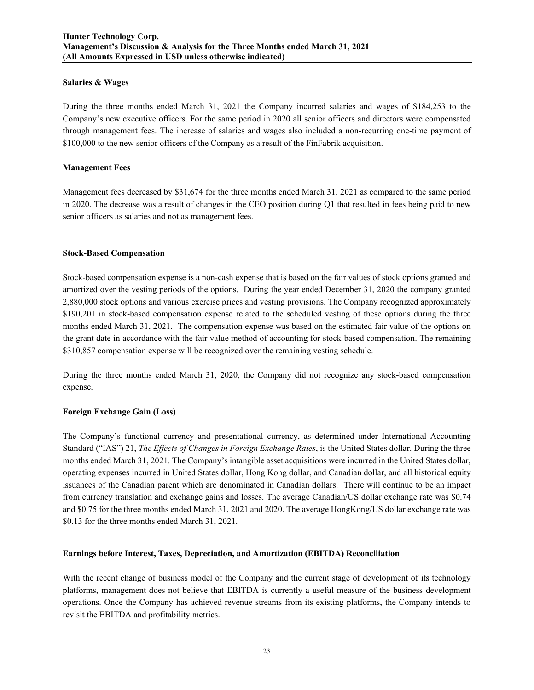### **Salaries & Wages**

During the three months ended March 31, 2021 the Company incurred salaries and wages of \$184,253 to the Company's new executive officers. For the same period in 2020 all senior officers and directors were compensated through management fees. The increase of salaries and wages also included a non-recurring one-time payment of \$100,000 to the new senior officers of the Company as a result of the FinFabrik acquisition.

## **Management Fees**

Management fees decreased by \$31,674 for the three months ended March 31, 2021 as compared to the same period in 2020. The decrease was a result of changes in the CEO position during Q1 that resulted in fees being paid to new senior officers as salaries and not as management fees.

### **Stock-Based Compensation**

Stock-based compensation expense is a non-cash expense that is based on the fair values of stock options granted and amortized over the vesting periods of the options. During the year ended December 31, 2020 the company granted 2,880,000 stock options and various exercise prices and vesting provisions. The Company recognized approximately \$190,201 in stock-based compensation expense related to the scheduled vesting of these options during the three months ended March 31, 2021. The compensation expense was based on the estimated fair value of the options on the grant date in accordance with the fair value method of accounting for stock-based compensation. The remaining \$310,857 compensation expense will be recognized over the remaining vesting schedule.

During the three months ended March 31, 2020, the Company did not recognize any stock-based compensation expense.

## **Foreign Exchange Gain (Loss)**

The Company's functional currency and presentational currency, as determined under International Accounting Standard ("IAS") 21, *The Effects of Changes in Foreign Exchange Rates*, is the United States dollar. During the three months ended March 31, 2021. The Company's intangible asset acquisitions were incurred in the United States dollar, operating expenses incurred in United States dollar, Hong Kong dollar, and Canadian dollar, and all historical equity issuances of the Canadian parent which are denominated in Canadian dollars. There will continue to be an impact from currency translation and exchange gains and losses. The average Canadian/US dollar exchange rate was \$0.74 and \$0.75 for the three months ended March 31, 2021 and 2020. The average HongKong/US dollar exchange rate was \$0.13 for the three months ended March 31, 2021.

## **Earnings before Interest, Taxes, Depreciation, and Amortization (EBITDA) Reconciliation**

With the recent change of business model of the Company and the current stage of development of its technology platforms, management does not believe that EBITDA is currently a useful measure of the business development operations. Once the Company has achieved revenue streams from its existing platforms, the Company intends to revisit the EBITDA and profitability metrics.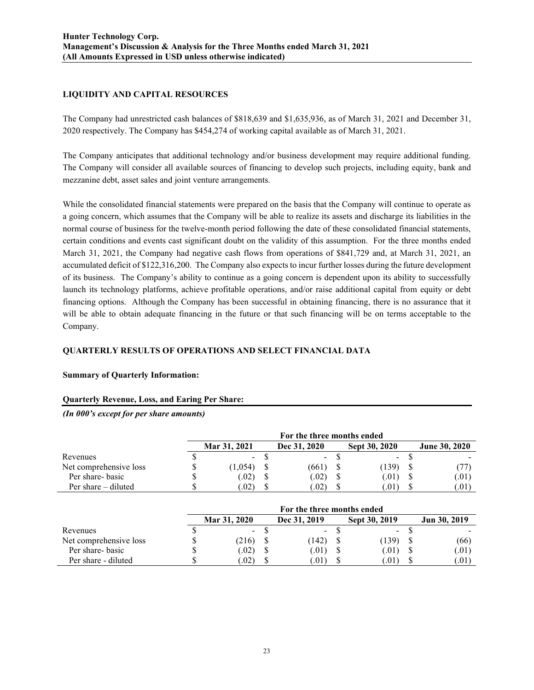## **LIQUIDITY AND CAPITAL RESOURCES**

The Company had unrestricted cash balances of \$818,639 and \$1,635,936, as of March 31, 2021 and December 31, 2020 respectively. The Company has \$454,274 of working capital available as of March 31, 2021.

The Company anticipates that additional technology and/or business development may require additional funding. The Company will consider all available sources of financing to develop such projects, including equity, bank and mezzanine debt, asset sales and joint venture arrangements.

While the consolidated financial statements were prepared on the basis that the Company will continue to operate as a going concern, which assumes that the Company will be able to realize its assets and discharge its liabilities in the normal course of business for the twelve-month period following the date of these consolidated financial statements, certain conditions and events cast significant doubt on the validity of this assumption. For the three months ended March 31, 2021, the Company had negative cash flows from operations of \$841,729 and, at March 31, 2021, an accumulated deficit of \$122,316,200. The Company also expects to incur further losses during the future development of its business. The Company's ability to continue as a going concern is dependent upon its ability to successfully launch its technology platforms, achieve profitable operations, and/or raise additional capital from equity or debt financing options. Although the Company has been successful in obtaining financing, there is no assurance that it will be able to obtain adequate financing in the future or that such financing will be on terms acceptable to the Company.

## **QUARTERLY RESULTS OF OPERATIONS AND SELECT FINANCIAL DATA**

## **Summary of Quarterly Information:**

## **Quarterly Revenue, Loss, and Earing Per Share:**

*(In 000's except for per share amounts)*

|                        | For the three months ended |  |               |  |               |  |                      |
|------------------------|----------------------------|--|---------------|--|---------------|--|----------------------|
|                        | Mar 31, 2021               |  | Dec 31, 2020  |  | Sept 30, 2020 |  | <b>June 30, 2020</b> |
| Revenues               | $\sim$                     |  | $\sim$        |  | $\sim$        |  |                      |
| Net comprehensive loss | (1,054)                    |  | (661)         |  | (139)         |  |                      |
| Per share- basic       | (0.02)                     |  | (0.02)        |  | (01)          |  | (.01)                |
| Per share – diluted    | .02)                       |  | $.02^{\circ}$ |  |               |  | (.01)                |

|                        | For the three months ended |              |  |               |  |               |              |
|------------------------|----------------------------|--------------|--|---------------|--|---------------|--------------|
|                        |                            | Mar 31, 2020 |  | Dec 31, 2019  |  | Sept 30, 2019 | Jun 30, 2019 |
| Revenues               |                            | $\sim$       |  | $\sim$        |  | $\sim$        |              |
| Net comprehensive loss |                            | (216)        |  | (142)         |  | (139)         | (66)         |
| Per share-basic        |                            | (0.02)       |  | (0.01)        |  | (.01)         | 0.01         |
| Per share - diluted    |                            | .02)         |  | $.01^{\circ}$ |  | .01)          | 0.01         |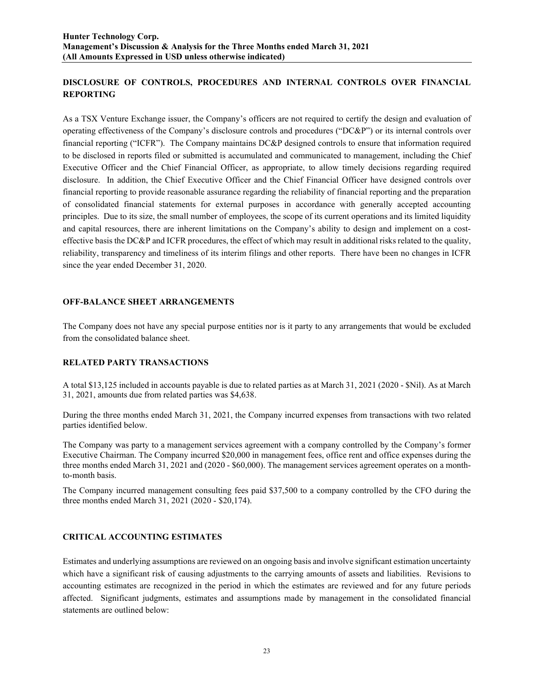# **DISCLOSURE OF CONTROLS, PROCEDURES AND INTERNAL CONTROLS OVER FINANCIAL REPORTING**

As a TSX Venture Exchange issuer, the Company's officers are not required to certify the design and evaluation of operating effectiveness of the Company's disclosure controls and procedures ("DC&P") or its internal controls over financial reporting ("ICFR"). The Company maintains DC&P designed controls to ensure that information required to be disclosed in reports filed or submitted is accumulated and communicated to management, including the Chief Executive Officer and the Chief Financial Officer, as appropriate, to allow timely decisions regarding required disclosure. In addition, the Chief Executive Officer and the Chief Financial Officer have designed controls over financial reporting to provide reasonable assurance regarding the reliability of financial reporting and the preparation of consolidated financial statements for external purposes in accordance with generally accepted accounting principles. Due to its size, the small number of employees, the scope of its current operations and its limited liquidity and capital resources, there are inherent limitations on the Company's ability to design and implement on a costeffective basis the DC&P and ICFR procedures, the effect of which may result in additional risks related to the quality, reliability, transparency and timeliness of its interim filings and other reports. There have been no changes in ICFR since the year ended December 31, 2020.

## **OFF-BALANCE SHEET ARRANGEMENTS**

The Company does not have any special purpose entities nor is it party to any arrangements that would be excluded from the consolidated balance sheet.

## **RELATED PARTY TRANSACTIONS**

A total \$13,125 included in accounts payable is due to related parties as at March 31, 2021 (2020 - \$Nil). As at March 31, 2021, amounts due from related parties was \$4,638.

During the three months ended March 31, 2021, the Company incurred expenses from transactions with two related parties identified below.

The Company was party to a management services agreement with a company controlled by the Company's former Executive Chairman. The Company incurred \$20,000 in management fees, office rent and office expenses during the three months ended March 31, 2021 and (2020 - \$60,000). The management services agreement operates on a monthto-month basis.

The Company incurred management consulting fees paid \$37,500 to a company controlled by the CFO during the three months ended March 31, 2021 (2020 - \$20,174).

## **CRITICAL ACCOUNTING ESTIMATES**

Estimates and underlying assumptions are reviewed on an ongoing basis and involve significant estimation uncertainty which have a significant risk of causing adjustments to the carrying amounts of assets and liabilities. Revisions to accounting estimates are recognized in the period in which the estimates are reviewed and for any future periods affected. Significant judgments, estimates and assumptions made by management in the consolidated financial statements are outlined below: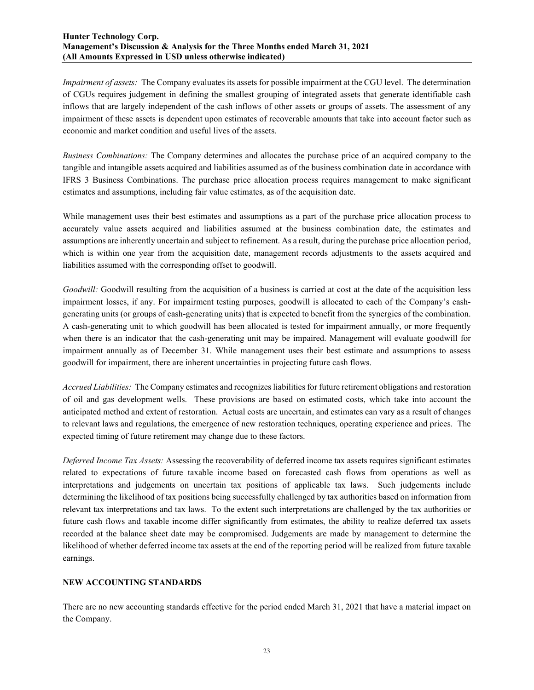*Impairment of assets:* The Company evaluates its assets for possible impairment at the CGU level. The determination of CGUs requires judgement in defining the smallest grouping of integrated assets that generate identifiable cash inflows that are largely independent of the cash inflows of other assets or groups of assets. The assessment of any impairment of these assets is dependent upon estimates of recoverable amounts that take into account factor such as economic and market condition and useful lives of the assets.

*Business Combinations:* The Company determines and allocates the purchase price of an acquired company to the tangible and intangible assets acquired and liabilities assumed as of the business combination date in accordance with IFRS 3 Business Combinations. The purchase price allocation process requires management to make significant estimates and assumptions, including fair value estimates, as of the acquisition date.

While management uses their best estimates and assumptions as a part of the purchase price allocation process to accurately value assets acquired and liabilities assumed at the business combination date, the estimates and assumptions are inherently uncertain and subject to refinement. As a result, during the purchase price allocation period, which is within one year from the acquisition date, management records adjustments to the assets acquired and liabilities assumed with the corresponding offset to goodwill.

*Goodwill:* Goodwill resulting from the acquisition of a business is carried at cost at the date of the acquisition less impairment losses, if any. For impairment testing purposes, goodwill is allocated to each of the Company's cashgenerating units (or groups of cash-generating units) that is expected to benefit from the synergies of the combination. A cash-generating unit to which goodwill has been allocated is tested for impairment annually, or more frequently when there is an indicator that the cash-generating unit may be impaired. Management will evaluate goodwill for impairment annually as of December 31. While management uses their best estimate and assumptions to assess goodwill for impairment, there are inherent uncertainties in projecting future cash flows.

*Accrued Liabilities:* The Company estimates and recognizes liabilities for future retirement obligations and restoration of oil and gas development wells. These provisions are based on estimated costs, which take into account the anticipated method and extent of restoration. Actual costs are uncertain, and estimates can vary as a result of changes to relevant laws and regulations, the emergence of new restoration techniques, operating experience and prices. The expected timing of future retirement may change due to these factors.

*Deferred Income Tax Assets:* Assessing the recoverability of deferred income tax assets requires significant estimates related to expectations of future taxable income based on forecasted cash flows from operations as well as interpretations and judgements on uncertain tax positions of applicable tax laws. Such judgements include determining the likelihood of tax positions being successfully challenged by tax authorities based on information from relevant tax interpretations and tax laws. To the extent such interpretations are challenged by the tax authorities or future cash flows and taxable income differ significantly from estimates, the ability to realize deferred tax assets recorded at the balance sheet date may be compromised. Judgements are made by management to determine the likelihood of whether deferred income tax assets at the end of the reporting period will be realized from future taxable earnings.

## **NEW ACCOUNTING STANDARDS**

There are no new accounting standards effective for the period ended March 31, 2021 that have a material impact on the Company.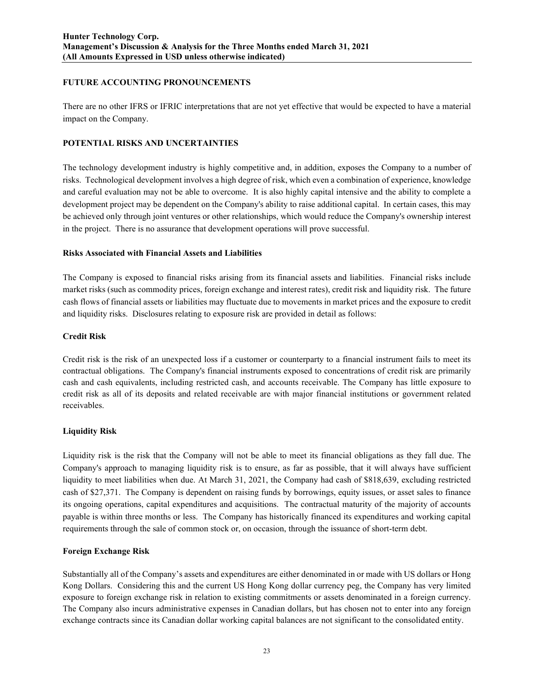## **FUTURE ACCOUNTING PRONOUNCEMENTS**

There are no other IFRS or IFRIC interpretations that are not yet effective that would be expected to have a material impact on the Company.

## **POTENTIAL RISKS AND UNCERTAINTIES**

The technology development industry is highly competitive and, in addition, exposes the Company to a number of risks. Technological development involves a high degree of risk, which even a combination of experience, knowledge and careful evaluation may not be able to overcome. It is also highly capital intensive and the ability to complete a development project may be dependent on the Company's ability to raise additional capital. In certain cases, this may be achieved only through joint ventures or other relationships, which would reduce the Company's ownership interest in the project. There is no assurance that development operations will prove successful.

## **Risks Associated with Financial Assets and Liabilities**

The Company is exposed to financial risks arising from its financial assets and liabilities. Financial risks include market risks (such as commodity prices, foreign exchange and interest rates), credit risk and liquidity risk. The future cash flows of financial assets or liabilities may fluctuate due to movements in market prices and the exposure to credit and liquidity risks. Disclosures relating to exposure risk are provided in detail as follows:

## **Credit Risk**

Credit risk is the risk of an unexpected loss if a customer or counterparty to a financial instrument fails to meet its contractual obligations. The Company's financial instruments exposed to concentrations of credit risk are primarily cash and cash equivalents, including restricted cash, and accounts receivable. The Company has little exposure to credit risk as all of its deposits and related receivable are with major financial institutions or government related receivables.

## **Liquidity Risk**

Liquidity risk is the risk that the Company will not be able to meet its financial obligations as they fall due. The Company's approach to managing liquidity risk is to ensure, as far as possible, that it will always have sufficient liquidity to meet liabilities when due. At March 31, 2021, the Company had cash of \$818,639, excluding restricted cash of \$27,371. The Company is dependent on raising funds by borrowings, equity issues, or asset sales to finance its ongoing operations, capital expenditures and acquisitions. The contractual maturity of the majority of accounts payable is within three months or less. The Company has historically financed its expenditures and working capital requirements through the sale of common stock or, on occasion, through the issuance of short-term debt.

## **Foreign Exchange Risk**

Substantially all of the Company's assets and expenditures are either denominated in or made with US dollars or Hong Kong Dollars. Considering this and the current US Hong Kong dollar currency peg, the Company has very limited exposure to foreign exchange risk in relation to existing commitments or assets denominated in a foreign currency. The Company also incurs administrative expenses in Canadian dollars, but has chosen not to enter into any foreign exchange contracts since its Canadian dollar working capital balances are not significant to the consolidated entity.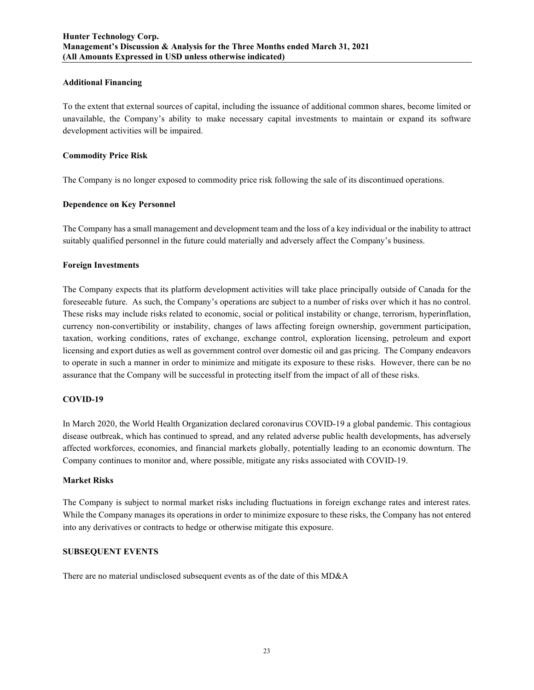### **Additional Financing**

To the extent that external sources of capital, including the issuance of additional common shares, become limited or unavailable, the Company's ability to make necessary capital investments to maintain or expand its software development activities will be impaired.

### **Commodity Price Risk**

The Company is no longer exposed to commodity price risk following the sale of its discontinued operations.

### **Dependence on Key Personnel**

The Company has a small management and development team and the loss of a key individual or the inability to attract suitably qualified personnel in the future could materially and adversely affect the Company's business.

### **Foreign Investments**

The Company expects that its platform development activities will take place principally outside of Canada for the foreseeable future. As such, the Company's operations are subject to a number of risks over which it has no control. These risks may include risks related to economic, social or political instability or change, terrorism, hyperinflation, currency non-convertibility or instability, changes of laws affecting foreign ownership, government participation, taxation, working conditions, rates of exchange, exchange control, exploration licensing, petroleum and export licensing and export duties as well as government control over domestic oil and gas pricing. The Company endeavors to operate in such a manner in order to minimize and mitigate its exposure to these risks. However, there can be no assurance that the Company will be successful in protecting itself from the impact of all of these risks.

## **COVID-19**

In March 2020, the World Health Organization declared coronavirus COVID-19 a global pandemic. This contagious disease outbreak, which has continued to spread, and any related adverse public health developments, has adversely affected workforces, economies, and financial markets globally, potentially leading to an economic downturn. The Company continues to monitor and, where possible, mitigate any risks associated with COVID-19.

#### **Market Risks**

The Company is subject to normal market risks including fluctuations in foreign exchange rates and interest rates. While the Company manages its operations in order to minimize exposure to these risks, the Company has not entered into any derivatives or contracts to hedge or otherwise mitigate this exposure.

## **SUBSEQUENT EVENTS**

There are no material undisclosed subsequent events as of the date of this MD&A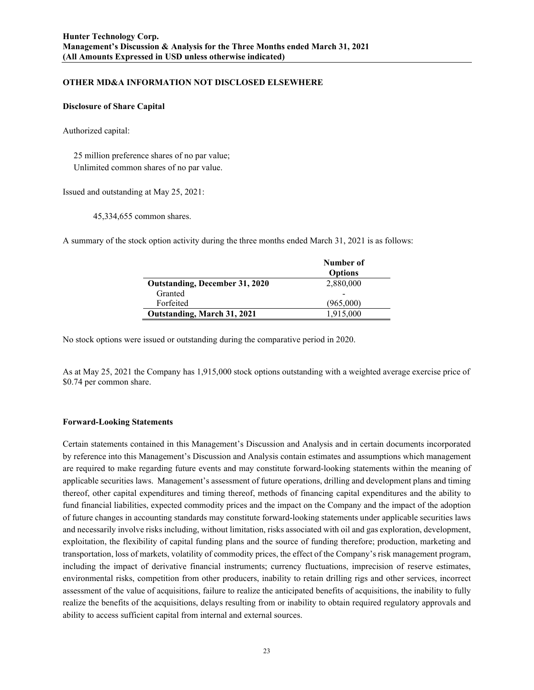## **OTHER MD&A INFORMATION NOT DISCLOSED ELSEWHERE**

#### **Disclosure of Share Capital**

Authorized capital:

 25 million preference shares of no par value; Unlimited common shares of no par value.

Issued and outstanding at May 25, 2021:

45,334,655 common shares.

A summary of the stock option activity during the three months ended March 31, 2021 is as follows:

|                                       | Number of<br><b>Options</b> |
|---------------------------------------|-----------------------------|
| <b>Outstanding, December 31, 2020</b> | 2,880,000                   |
| Granted                               |                             |
| Forfeited                             | (965,000)                   |
| <b>Outstanding, March 31, 2021</b>    | 1,915,000                   |

No stock options were issued or outstanding during the comparative period in 2020.

As at May 25, 2021 the Company has 1,915,000 stock options outstanding with a weighted average exercise price of \$0.74 per common share.

#### **Forward-Looking Statements**

Certain statements contained in this Management's Discussion and Analysis and in certain documents incorporated by reference into this Management's Discussion and Analysis contain estimates and assumptions which management are required to make regarding future events and may constitute forward-looking statements within the meaning of applicable securities laws. Management's assessment of future operations, drilling and development plans and timing thereof, other capital expenditures and timing thereof, methods of financing capital expenditures and the ability to fund financial liabilities, expected commodity prices and the impact on the Company and the impact of the adoption of future changes in accounting standards may constitute forward-looking statements under applicable securities laws and necessarily involve risks including, without limitation, risks associated with oil and gas exploration, development, exploitation, the flexibility of capital funding plans and the source of funding therefore; production, marketing and transportation, loss of markets, volatility of commodity prices, the effect of the Company's risk management program, including the impact of derivative financial instruments; currency fluctuations, imprecision of reserve estimates, environmental risks, competition from other producers, inability to retain drilling rigs and other services, incorrect assessment of the value of acquisitions, failure to realize the anticipated benefits of acquisitions, the inability to fully realize the benefits of the acquisitions, delays resulting from or inability to obtain required regulatory approvals and ability to access sufficient capital from internal and external sources.